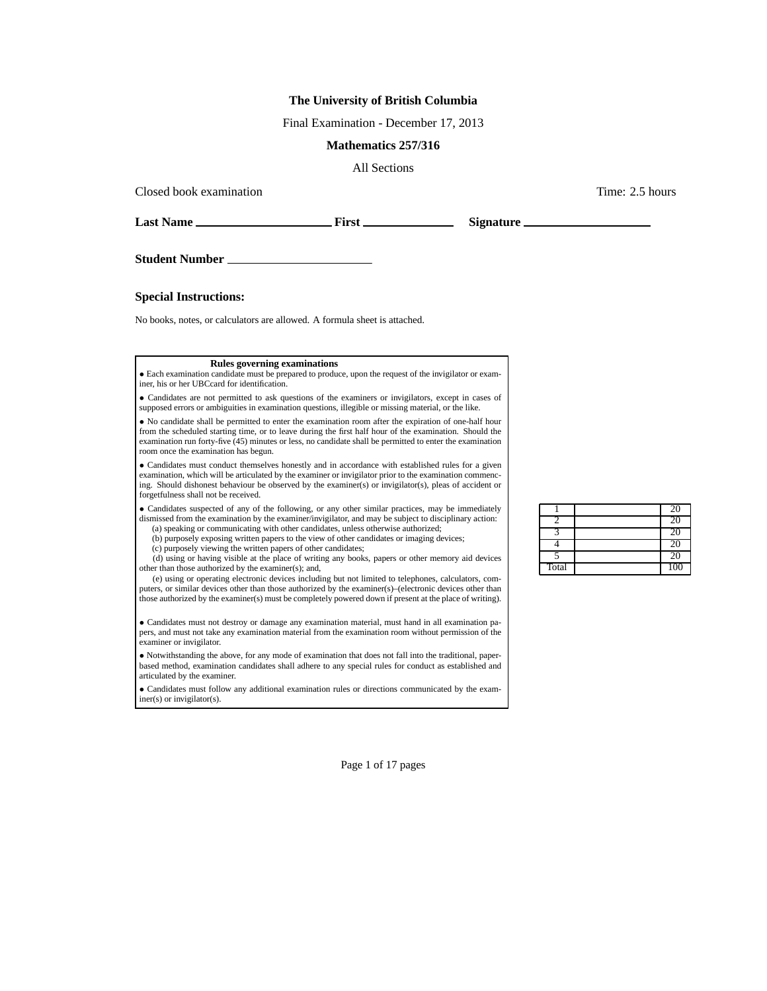## **The University of British Columbia**

Final Examination - December 17, 2013

## **Mathematics 257/316**

All Sections

Closed book examination  $\blacksquare$  2.5 hours  $\blacksquare$  Time: 2.5 hours  $\blacksquare$ 

**Last Name First Signature**

**Student Number**

**Special Instructions:**

No books, notes, or calculators are allowed. A formula sheet is attached.

## **Rules governing examinations**

• Each examination candidate must be prepared to produce, upon the request of the invigilator or examiner, his or her UBCcard for identification.

• Candidates are not permitted to ask questions of the examiners or invigilators, except in cases of supposed errors or ambiguities in examination questions, illegible or missing material, or the like.

• No candidate shall be permitted to enter the examination room after the expiration of one-half hour from the scheduled starting time, or to leave during the first half hour of the examination. Should the examination run forty-five (45) minutes or less, no candidate shall be permitted to enter the examination room once the examination has begun.

• Candidates must conduct themselves honestly and in accordance with established rules for a given examination, which will be articulated by the examiner or invigilator prior to the examination commencing. Should dishonest behaviour be observed by the examiner(s) or invigilator(s), pleas of accident or forgetfulness shall not be received.

• Candidates suspected of any of the following, or any other similar practices, may be immediately dismissed from the examination by the examiner/invigilator, and may be subject to disciplinary action: (a) speaking or communicating with other candidates, unless otherwise authorized;

(b) purposely exposing written papers to the view of other candidates or imaging devices;

(c) purposely viewing the written papers of other candidates;

(d) using or having visible at the place of writing any books, papers or other memory aid devices other than those authorized by the examiner(s); and,

(e) using or operating electronic devices including but not limited to telephones, calculators, computers, or similar devices other than those authorized by the examiner(s)–(electronic devices other than those authorized by the examiner(s) must be completely powered down if present at the place of writing).

• Candidates must not destroy or damage any examination material, must hand in all examination papers, and must not take any examination material from the examination room without permission of the examiner or invigilator.

• Notwithstanding the above, for any mode of examination that does not fall into the traditional, paperbased method, examination candidates shall adhere to any special rules for conduct as established and articulated by the examiner.

• Candidates must follow any additional examination rules or directions communicated by the examiner(s) or invigilator(s).

|       | 20  |
|-------|-----|
|       | 20  |
|       | 20  |
|       | 20  |
|       | 20  |
| Total | 100 |

Page 1 of 17 pages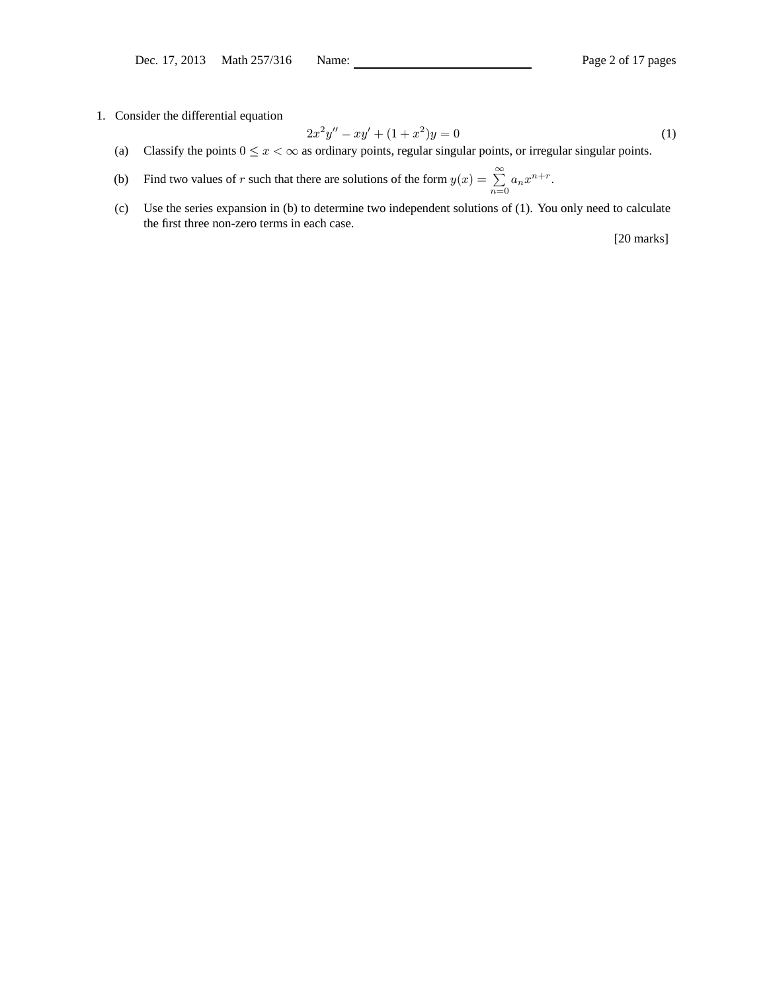1. Consider the differential equation

$$
2x^2y'' - xy' + (1+x^2)y = 0
$$
\n(1)

- (a) Classify the points  $0 \le x < \infty$  as ordinary points, regular singular points, or irregular singular points.
- (b) Find two values of r such that there are solutions of the form  $y(x) = \sum_{r=1}^{\infty}$  $\sum_{n=0} a_n x^{n+r}.$
- (c) Use the series expansion in (b) to determine two independent solutions of (1). You only need to calculate the first three non-zero terms in each case.

[20 marks]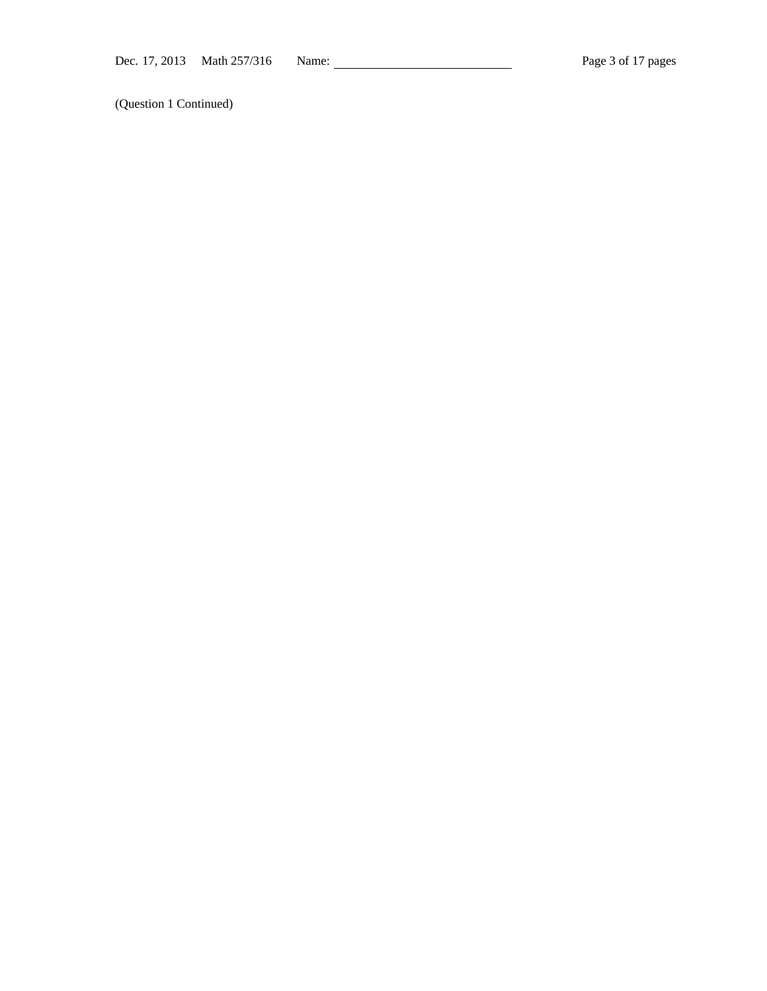(Question 1 Continued)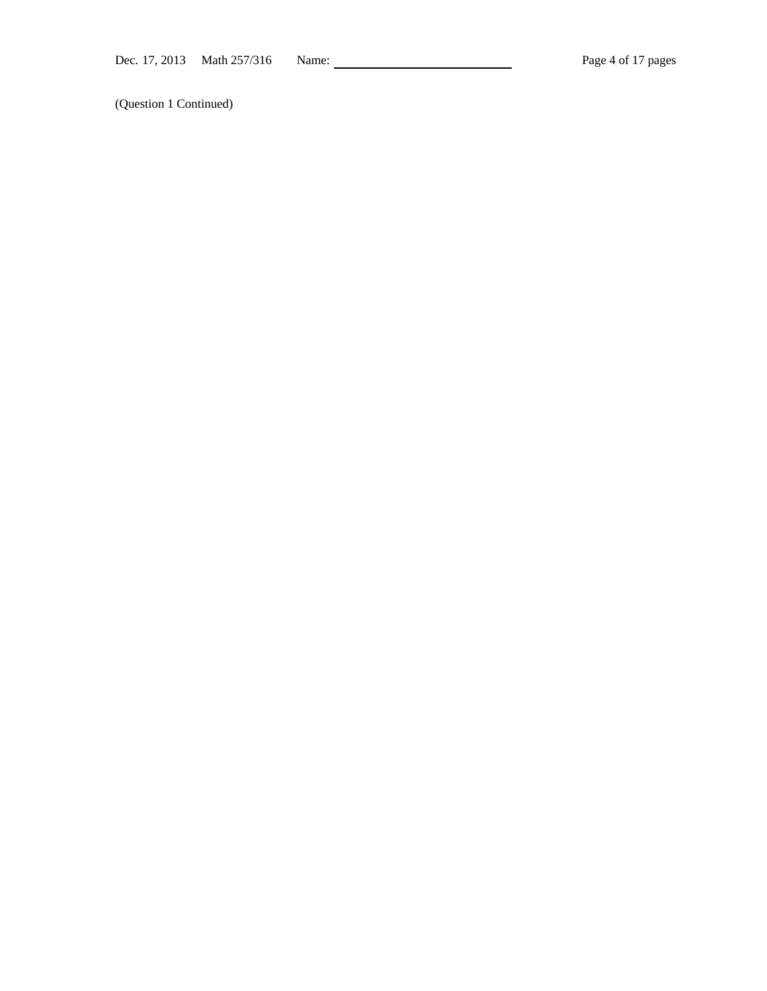(Question 1 Continued)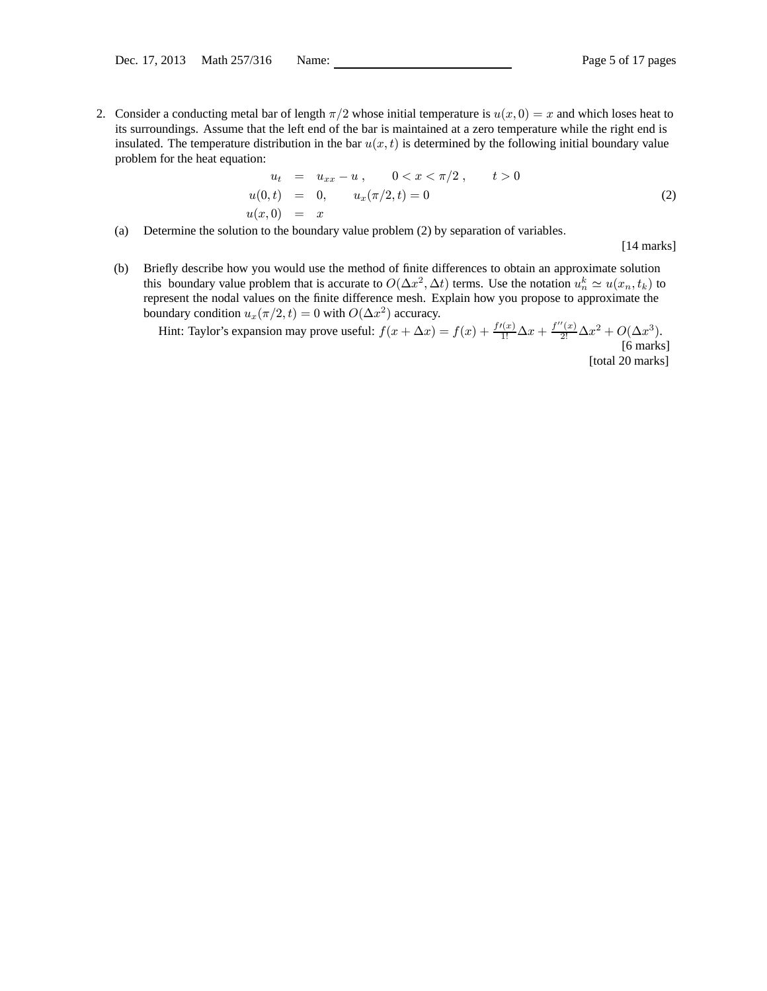2. Consider a conducting metal bar of length  $\pi/2$  whose initial temperature is  $u(x, 0) = x$  and which loses heat to its surroundings. Assume that the left end of the bar is maintained at a zero temperature while the right end is insulated. The temperature distribution in the bar  $u(x, t)$  is determined by the following initial boundary value problem for the heat equation:

$$
u_t = u_{xx} - u, \t 0 < x < \pi/2, \t t > 0
$$
  
\n
$$
u(0,t) = 0, \t u_x(\pi/2,t) = 0
$$
  
\n
$$
u(x,0) = x
$$
\n(2)

(a) Determine the solution to the boundary value problem (2) by separation of variables.

[14 marks]

(b) Briefly describe how you would use the method of finite differences to obtain an approximate solution this boundary value problem that is accurate to  $O(\Delta x^2, \Delta t)$  terms. Use the notation  $u_n^k \simeq u(x_n, t_k)$  to represent the nodal values on the finite difference mesh. Explain how you propose to approximate the boundary condition  $u_x(\pi/2, t)=0$  with  $O(\Delta x^2)$  accuracy.

Hint: Taylor's expansion may prove useful:  $f(x + \Delta x) = f(x) + \frac{f'(x)}{1!} \Delta x + \frac{f''(x)}{2!} \Delta x^2 + O(\Delta x^3)$ . [6 marks] [total 20 marks]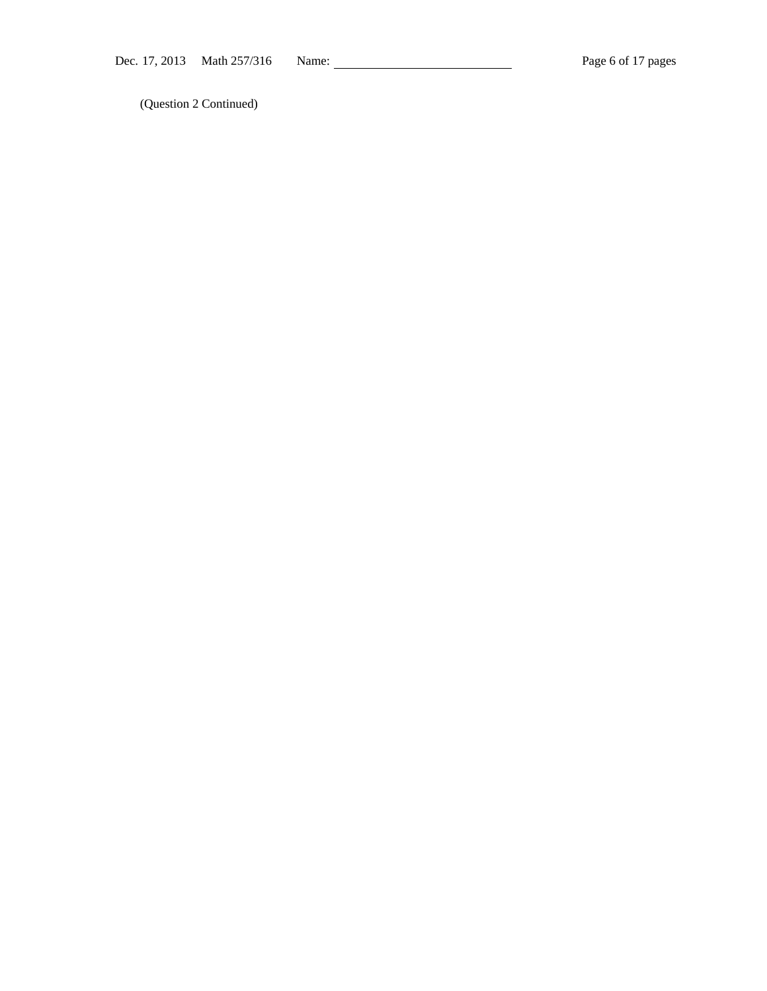(Question 2 Continued)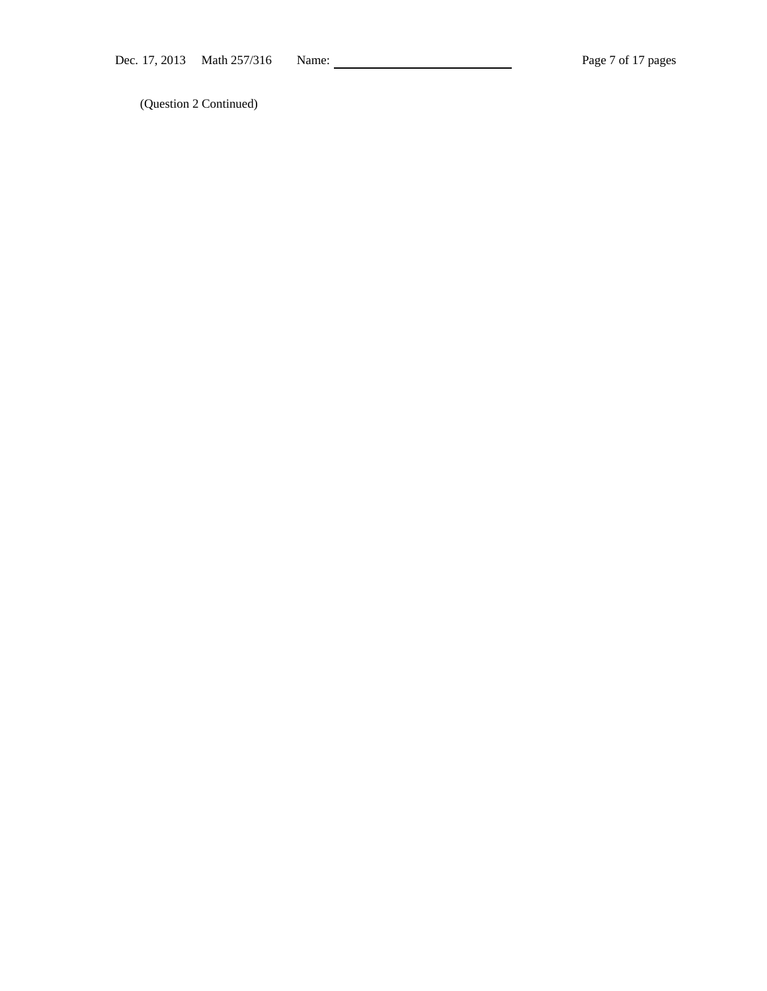(Question 2 Continued)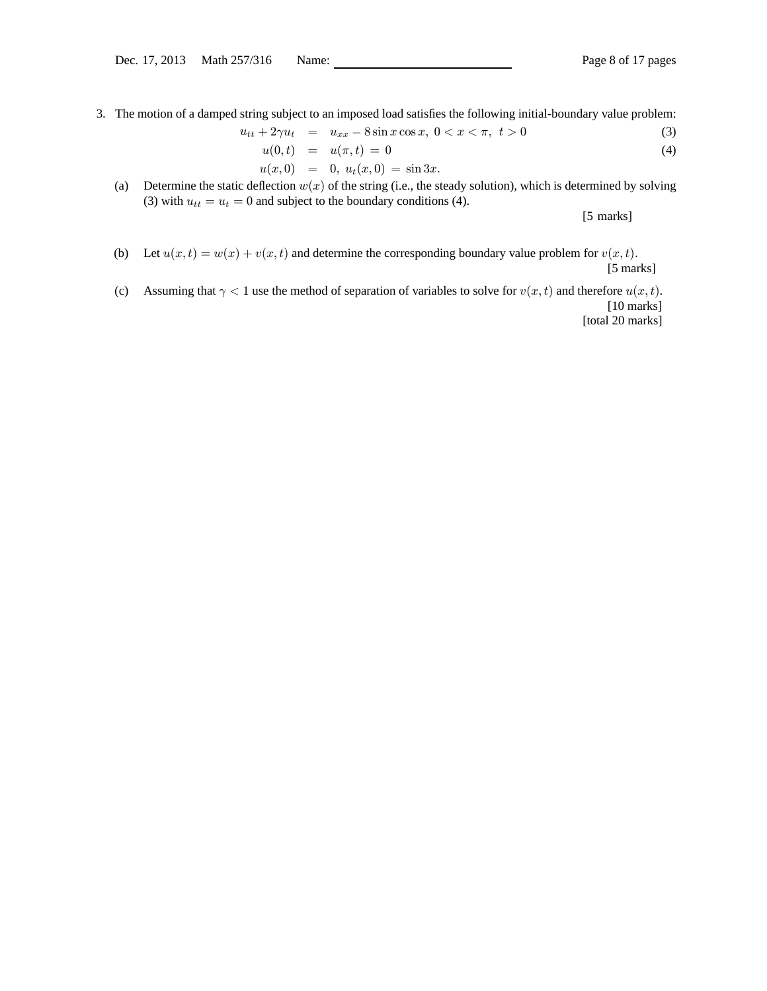3. The motion of a damped string subject to an imposed load satisfies the following initial-boundary value problem:

$$
u_{tt} + 2\gamma u_t = u_{xx} - 8\sin x \cos x, \ 0 < x < \pi, \ t > 0 \tag{3}
$$

$$
u(0,t) = u(\pi,t) = 0 \tag{4}
$$

$$
u(x,0) = 0, u_t(x,0) = \sin 3x.
$$

(a) Determine the static deflection  $w(x)$  of the string (i.e., the steady solution), which is determined by solving (3) with  $u_{tt} = u_t = 0$  and subject to the boundary conditions (4).

[5 marks]

(b) Let  $u(x, t) = w(x) + v(x, t)$  and determine the corresponding boundary value problem for  $v(x, t)$ . [5 marks]

(c) Assuming that  $\gamma < 1$  use the method of separation of variables to solve for  $v(x, t)$  and therefore  $u(x, t)$ . [10 marks]

[total 20 marks]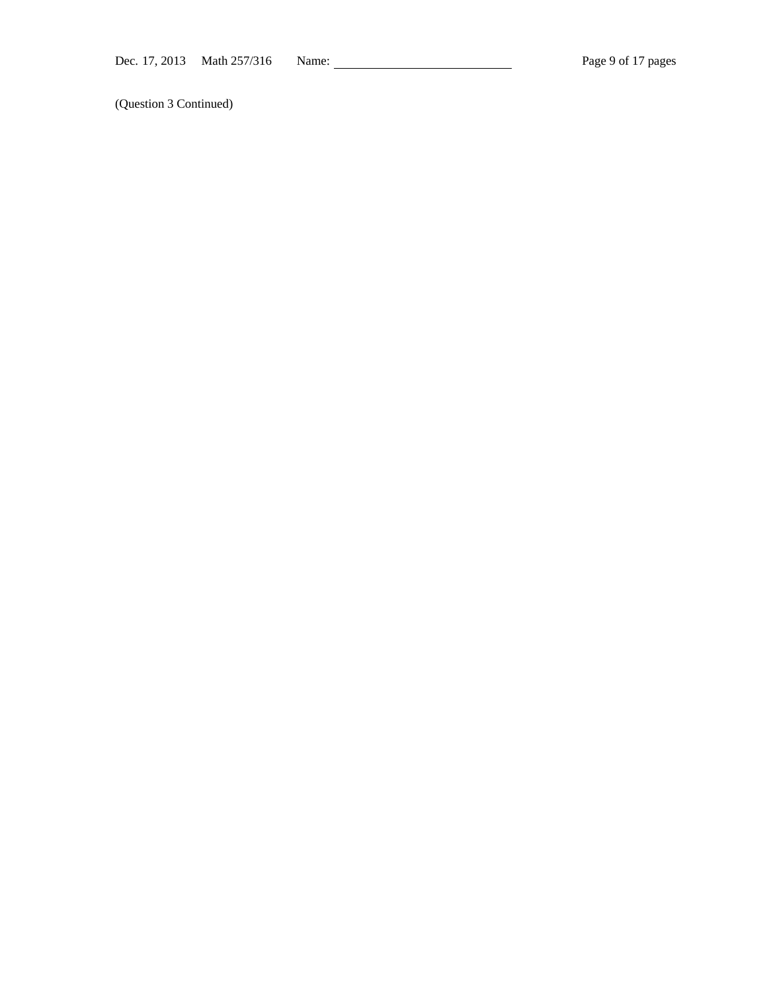(Question 3 Continued)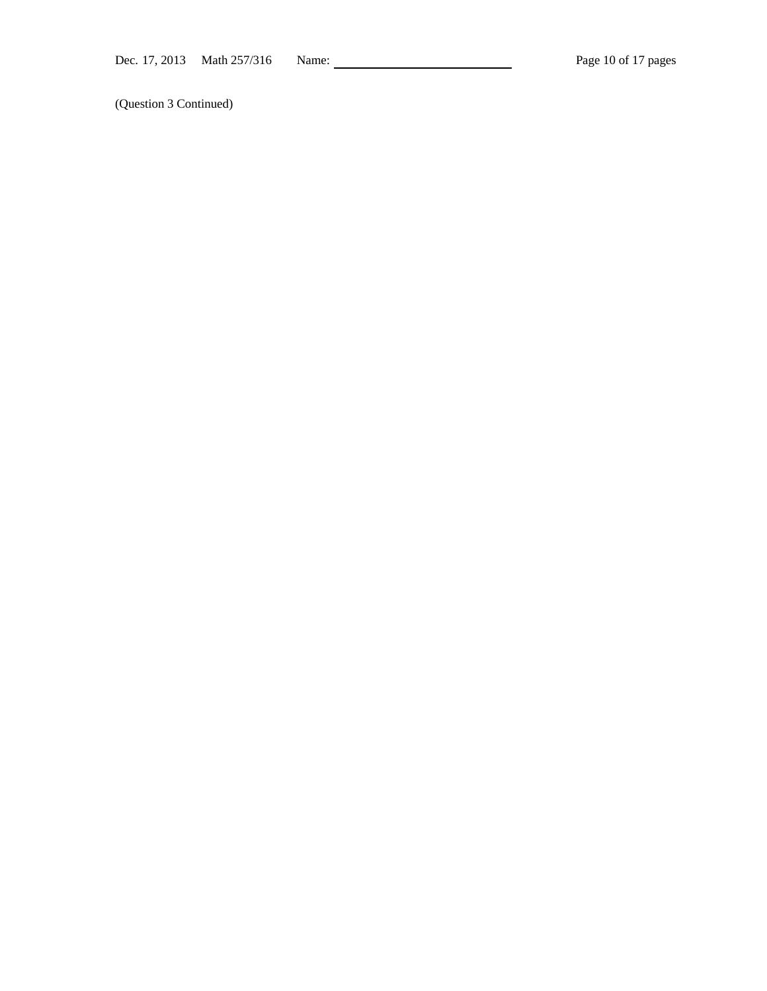(Question 3 Continued)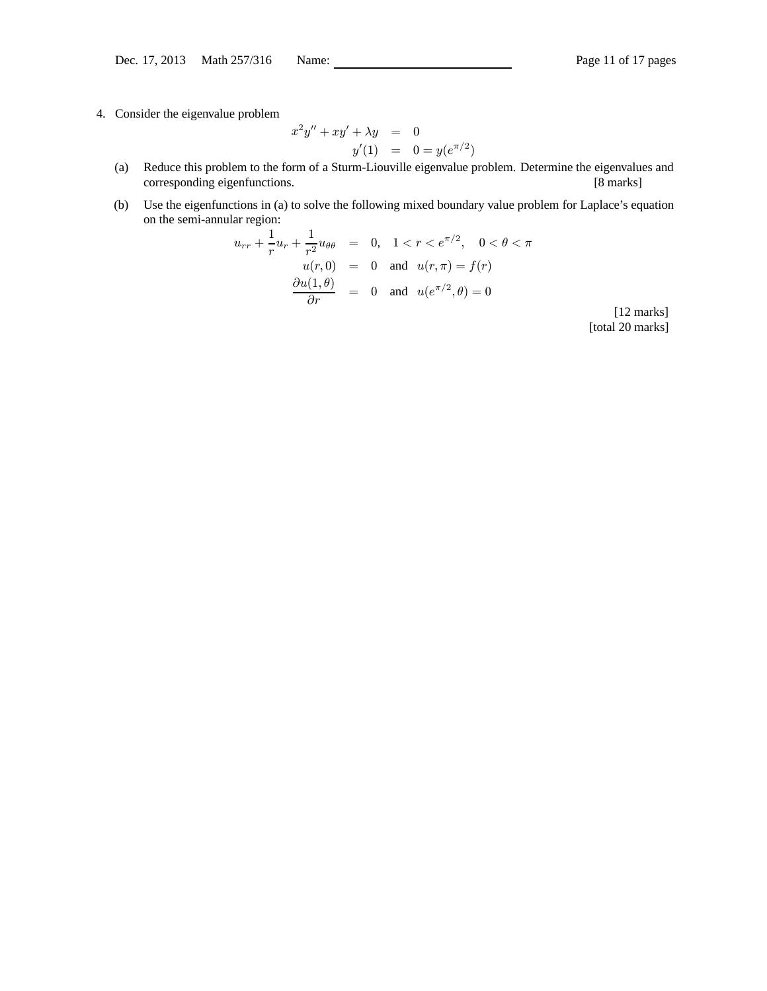4. Consider the eigenvalue problem

$$
x^{2}y'' + xy' + \lambda y = 0
$$
  

$$
y'(1) = 0 = y(e^{\pi/2})
$$

- (a) Reduce this problem to the form of a Sturm-Liouville eigenvalue problem. Determine the eigenvalues and corresponding eigenfunctions. [8 marks]
- (b) Use the eigenfunctions in (a) to solve the following mixed boundary value problem for Laplace's equation on the semi-annular region:

$$
u_{rr} + \frac{1}{r}u_r + \frac{1}{r^2}u_{\theta\theta} = 0, \quad 1 < r < e^{\pi/2}, \quad 0 < \theta < \pi
$$
  

$$
u(r, 0) = 0 \text{ and } u(r, \pi) = f(r)
$$
  

$$
\frac{\partial u(1, \theta)}{\partial r} = 0 \text{ and } u(e^{\pi/2}, \theta) = 0
$$

[12 marks] [total 20 marks]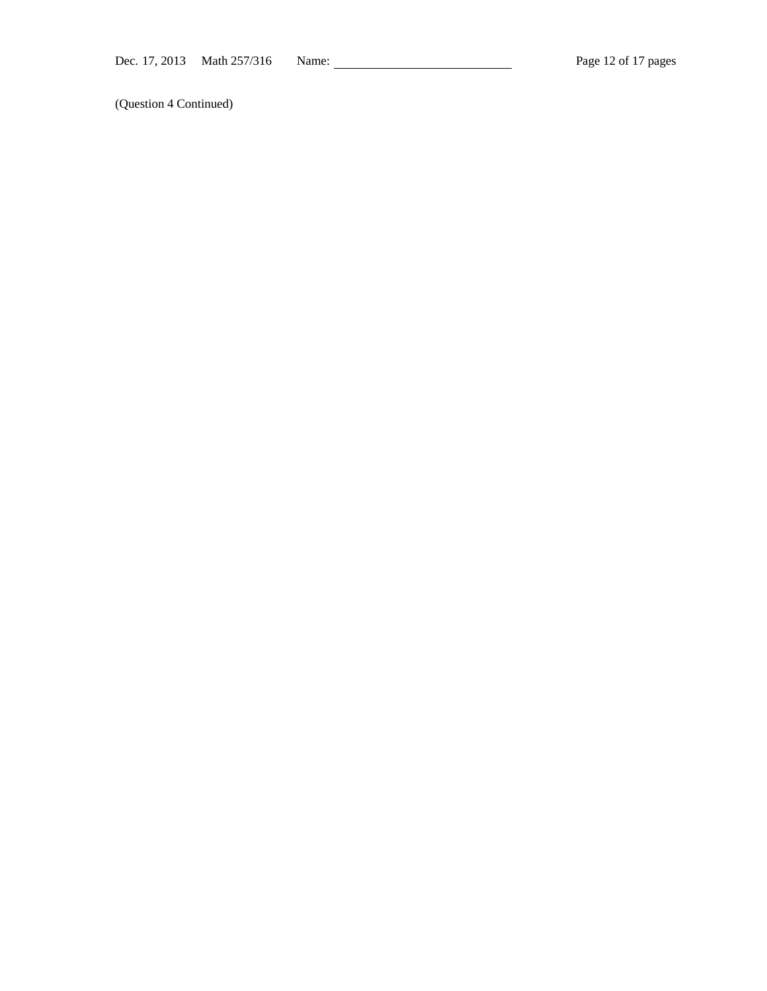(Question 4 Continued)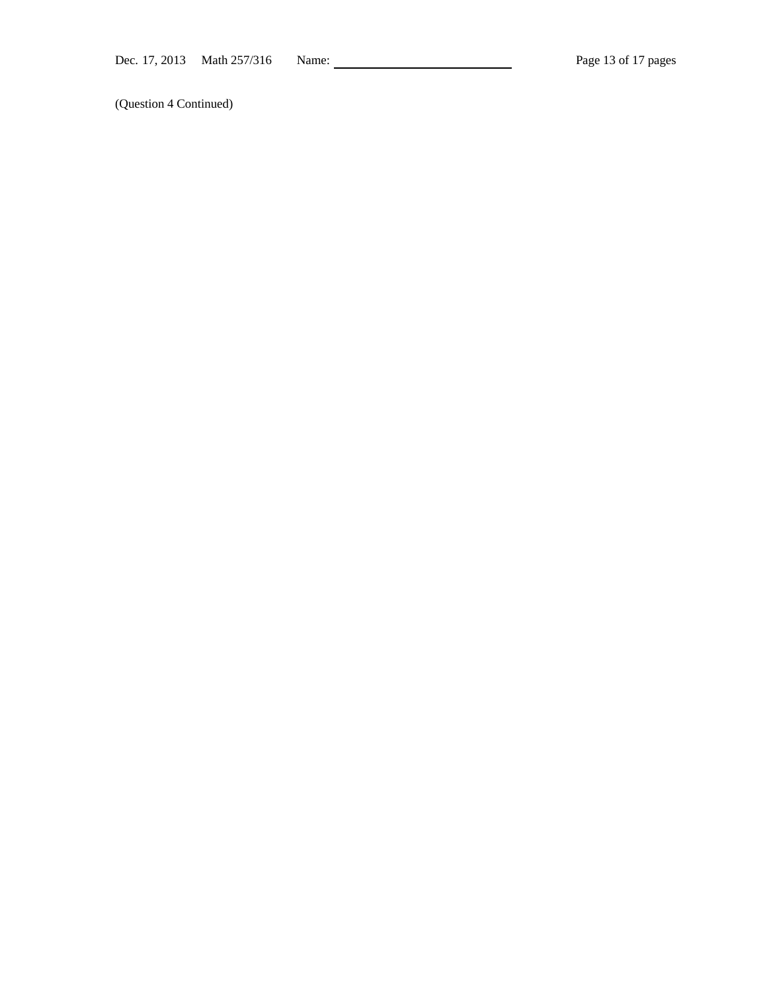(Question 4 Continued)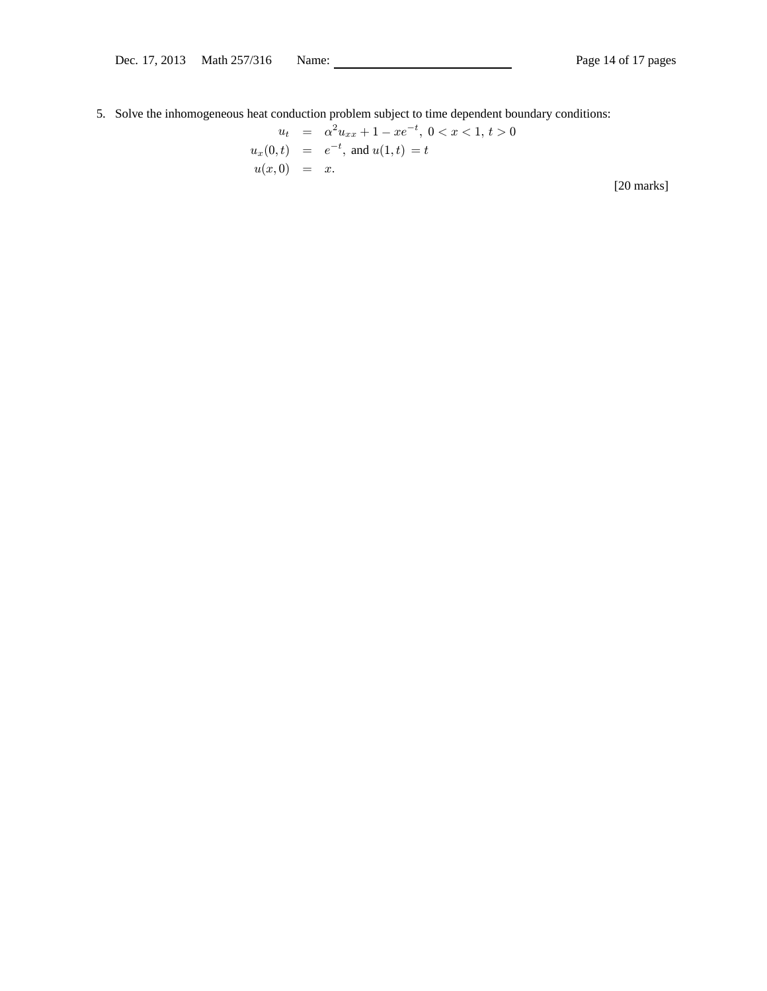5. Solve the inhomogeneous heat conduction problem subject to time dependent boundary conditions:

$$
u_t = \alpha^2 u_{xx} + 1 - xe^{-t}, \ 0 < x < 1, \ t > 0
$$
\n
$$
u_x(0, t) = e^{-t}, \text{ and } u(1, t) = t
$$
\n
$$
u(x, 0) = x.
$$
\n[20 marks]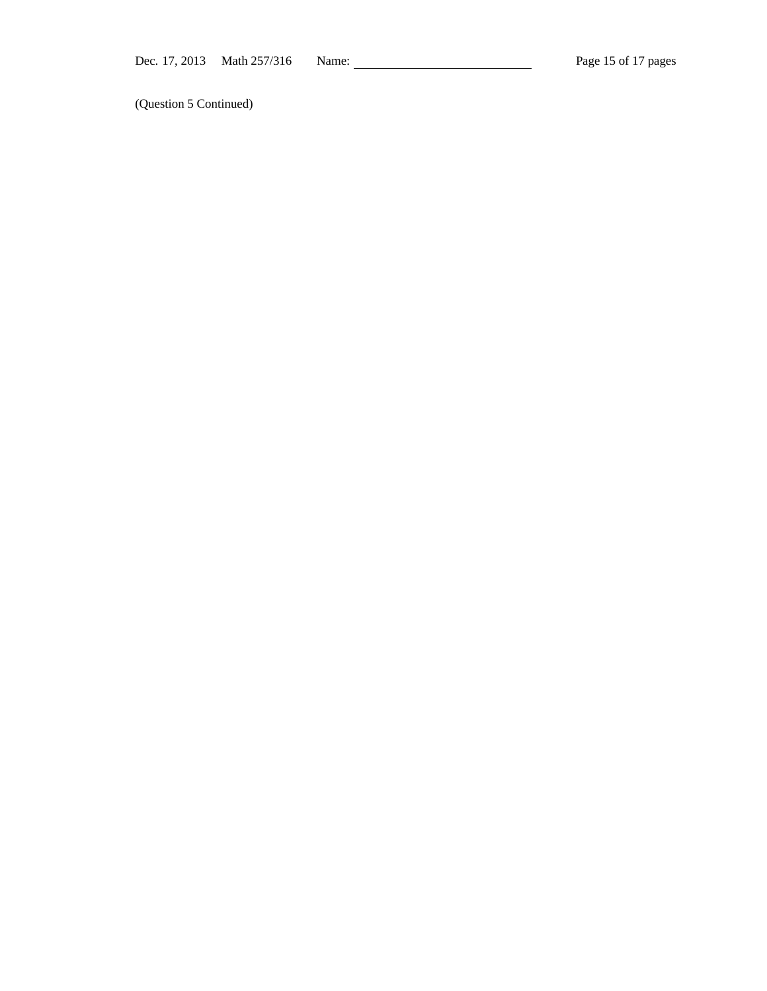(Question 5 Continued)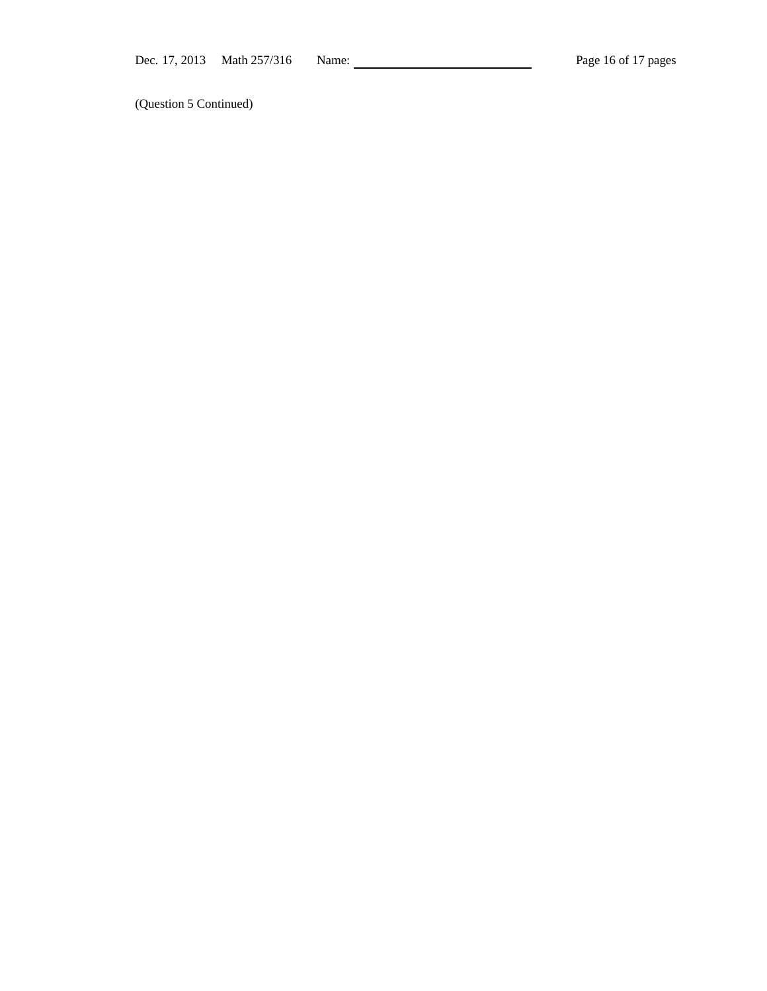(Question 5 Continued)